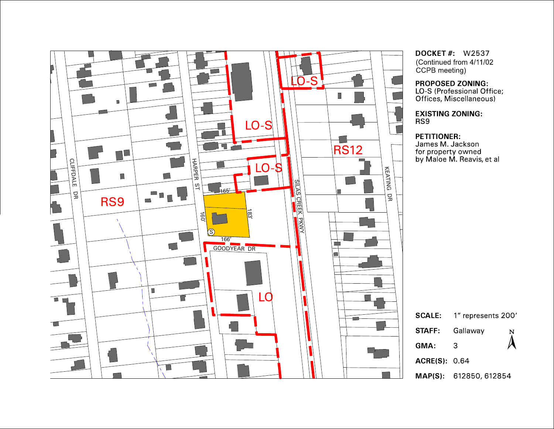

**DOCKET #: W2537** (Continued from 4/11/02) CCPB meeting)

PROPOSED ZONING:<br>LO-S (Professional Office; Offices, Miscellaneous)

**EXISTING ZONING:** RS9

## PETITIONER:

James M. Jackson for property owned<br>by Maloe M. Reavis, et al

| <b>SCALE:</b>       | 1" represents 200'     |        |
|---------------------|------------------------|--------|
| STAFF:              | Gallaway               | N<br>A |
| GMA:                | З                      |        |
| <b>ACRE(S)</b> 0.64 |                        |        |
|                     | MAP(S): 612850, 612854 |        |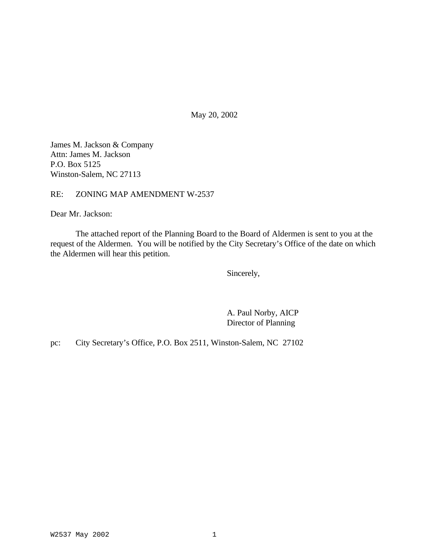May 20, 2002

James M. Jackson & Company Attn: James M. Jackson P.O. Box 5125 Winston-Salem, NC 27113

RE: ZONING MAP AMENDMENT W-2537

Dear Mr. Jackson:

The attached report of the Planning Board to the Board of Aldermen is sent to you at the request of the Aldermen. You will be notified by the City Secretary's Office of the date on which the Aldermen will hear this petition.

Sincerely,

A. Paul Norby, AICP Director of Planning

pc: City Secretary's Office, P.O. Box 2511, Winston-Salem, NC 27102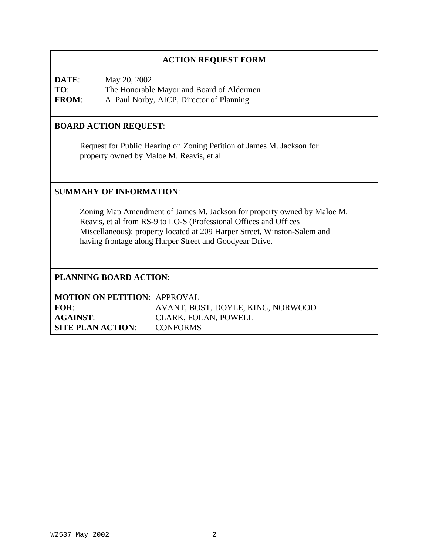# **ACTION REQUEST FORM**

**DATE**: May 20, 2002 **TO**: The Honorable Mayor and Board of Aldermen **FROM**: A. Paul Norby, AICP, Director of Planning

## **BOARD ACTION REQUEST**:

Request for Public Hearing on Zoning Petition of James M. Jackson for property owned by Maloe M. Reavis, et al

### **SUMMARY OF INFORMATION**:

Zoning Map Amendment of James M. Jackson for property owned by Maloe M. Reavis, et al from RS-9 to LO-S (Professional Offices and Offices Miscellaneous): property located at 209 Harper Street, Winston-Salem and having frontage along Harper Street and Goodyear Drive.

# **PLANNING BOARD ACTION**:

| <b>MOTION ON PETITION: APPROVAL</b> |                                   |
|-------------------------------------|-----------------------------------|
| FOR:                                | AVANT, BOST, DOYLE, KING, NORWOOD |
| <b>AGAINST:</b>                     | CLARK, FOLAN, POWELL              |
| <b>SITE PLAN ACTION:</b>            | <b>CONFORMS</b>                   |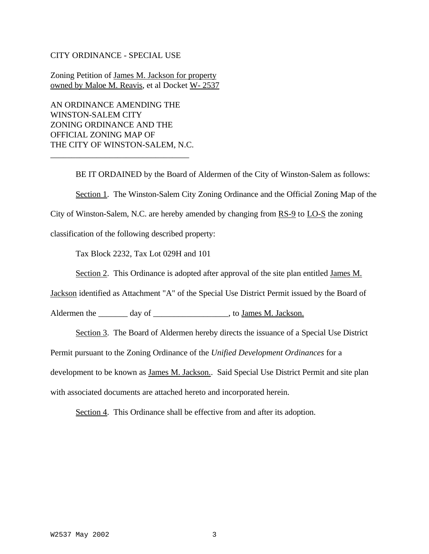#### CITY ORDINANCE - SPECIAL USE

Zoning Petition of James M. Jackson for property owned by Maloe M. Reavis, et al Docket W- 2537

AN ORDINANCE AMENDING THE WINSTON-SALEM CITY ZONING ORDINANCE AND THE OFFICIAL ZONING MAP OF THE CITY OF WINSTON-SALEM, N.C.

\_\_\_\_\_\_\_\_\_\_\_\_\_\_\_\_\_\_\_\_\_\_\_\_\_\_\_\_\_\_\_\_\_

BE IT ORDAINED by the Board of Aldermen of the City of Winston-Salem as follows: Section 1. The Winston-Salem City Zoning Ordinance and the Official Zoning Map of the City of Winston-Salem, N.C. are hereby amended by changing from  $RS-9$  to  $LO-S$  the zoning classification of the following described property:

Tax Block 2232, Tax Lot 029H and 101

Section 2. This Ordinance is adopted after approval of the site plan entitled James M.

Jackson identified as Attachment "A" of the Special Use District Permit issued by the Board of

Aldermen the \_\_\_\_\_\_\_ day of \_\_\_\_\_\_\_\_\_\_\_\_\_\_\_\_\_\_\_\_, to James M. Jackson.

Section 3. The Board of Aldermen hereby directs the issuance of a Special Use District

Permit pursuant to the Zoning Ordinance of the *Unified Development Ordinances* for a

development to be known as James M. Jackson.. Said Special Use District Permit and site plan

with associated documents are attached hereto and incorporated herein.

Section 4. This Ordinance shall be effective from and after its adoption.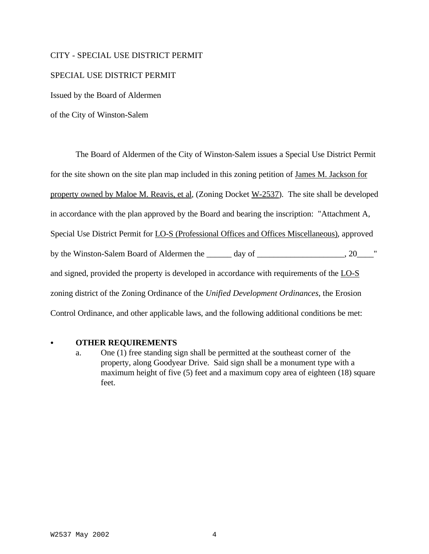#### CITY - SPECIAL USE DISTRICT PERMIT

#### SPECIAL USE DISTRICT PERMIT

Issued by the Board of Aldermen

of the City of Winston-Salem

The Board of Aldermen of the City of Winston-Salem issues a Special Use District Permit for the site shown on the site plan map included in this zoning petition of James M. Jackson for property owned by Maloe M. Reavis, et al, (Zoning Docket W-2537). The site shall be developed in accordance with the plan approved by the Board and bearing the inscription: "Attachment A, Special Use District Permit for LO-S (Professional Offices and Offices Miscellaneous), approved by the Winston-Salem Board of Aldermen the \_\_\_\_\_\_ day of \_\_\_\_\_\_\_\_\_\_\_\_\_\_\_\_\_, 20\_\_\_\_" and signed, provided the property is developed in accordance with requirements of the LO-S zoning district of the Zoning Ordinance of the *Unified Development Ordinances*, the Erosion Control Ordinance, and other applicable laws, and the following additional conditions be met:

#### C **OTHER REQUIREMENTS**

a. One (1) free standing sign shall be permitted at the southeast corner of the property, along Goodyear Drive. Said sign shall be a monument type with a maximum height of five (5) feet and a maximum copy area of eighteen (18) square feet.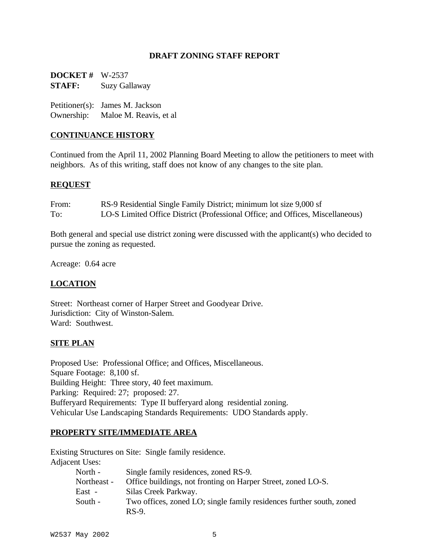### **DRAFT ZONING STAFF REPORT**

**DOCKET #** W-2537 **STAFF:** Suzy Gallaway

Petitioner(s): James M. Jackson Ownership: Maloe M. Reavis, et al

### **CONTINUANCE HISTORY**

Continued from the April 11, 2002 Planning Board Meeting to allow the petitioners to meet with neighbors. As of this writing, staff does not know of any changes to the site plan.

#### **REQUEST**

| From: | RS-9 Residential Single Family District; minimum lot size 9,000 sf             |
|-------|--------------------------------------------------------------------------------|
| To:   | LO-S Limited Office District (Professional Office; and Offices, Miscellaneous) |

Both general and special use district zoning were discussed with the applicant(s) who decided to pursue the zoning as requested.

Acreage: 0.64 acre

### **LOCATION**

Street: Northeast corner of Harper Street and Goodyear Drive. Jurisdiction: City of Winston-Salem. Ward: Southwest.

#### **SITE PLAN**

Proposed Use: Professional Office; and Offices, Miscellaneous. Square Footage: 8,100 sf. Building Height: Three story, 40 feet maximum. Parking: Required: 27; proposed: 27. Bufferyard Requirements: Type II bufferyard along residential zoning. Vehicular Use Landscaping Standards Requirements: UDO Standards apply.

#### **PROPERTY SITE/IMMEDIATE AREA**

Existing Structures on Site: Single family residence.

Adjacent Uses:<br>North - $Sinalo$  family residences, zoned  $DC<sub>o</sub>$ .

| - NOLUI -   | Single Tamily residences, zoned RS-9.                                |
|-------------|----------------------------------------------------------------------|
| Northeast - | Office buildings, not fronting on Harper Street, zoned LO-S.         |
| East -      | Silas Creek Parkway.                                                 |
| South -     | Two offices, zoned LO; single family residences further south, zoned |
|             | $RS-9$ .                                                             |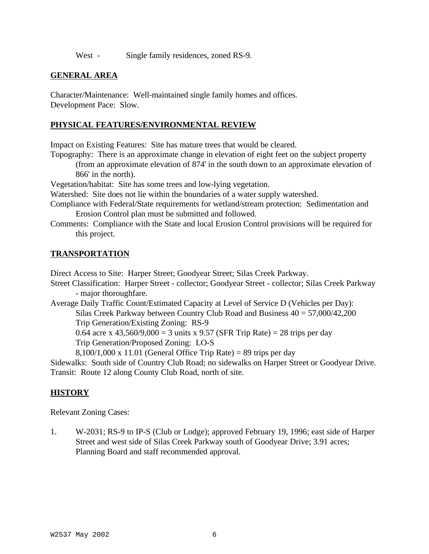West - Single family residences, zoned RS-9.

## **GENERAL AREA**

Character/Maintenance: Well-maintained single family homes and offices. Development Pace: Slow.

#### **PHYSICAL FEATURES/ENVIRONMENTAL REVIEW**

Impact on Existing Features: Site has mature trees that would be cleared.

Topography: There is an approximate change in elevation of eight feet on the subject property

(from an approximate elevation of 874' in the south down to an approximate elevation of 866' in the north).

Vegetation/habitat: Site has some trees and low-lying vegetation.

Watershed: Site does not lie within the boundaries of a water supply watershed.

- Compliance with Federal/State requirements for wetland/stream protection: Sedimentation and Erosion Control plan must be submitted and followed.
- Comments: Compliance with the State and local Erosion Control provisions will be required for this project.

### **TRANSPORTATION**

Direct Access to Site: Harper Street; Goodyear Street; Silas Creek Parkway.

Street Classification: Harper Street - collector; Goodyear Street - collector; Silas Creek Parkway - major thoroughfare.

Average Daily Traffic Count/Estimated Capacity at Level of Service D (Vehicles per Day): Silas Creek Parkway between Country Club Road and Business 40 = 57,000/42,200 Trip Generation/Existing Zoning: RS-9

0.64 acre x 43,560/9,000 = 3 units x 9.57 (SFR Trip Rate) = 28 trips per day

Trip Generation/Proposed Zoning: LO-S

 $8,100/1,000 \text{ x } 11.01$  (General Office Trip Rate) = 89 trips per day

Sidewalks: South side of Country Club Road; no sidewalks on Harper Street or Goodyear Drive. Transit: Route 12 along County Club Road, north of site.

# **HISTORY**

Relevant Zoning Cases:

1. W-2031; RS-9 to IP-S (Club or Lodge); approved February 19, 1996; east side of Harper Street and west side of Silas Creek Parkway south of Goodyear Drive; 3.91 acres; Planning Board and staff recommended approval.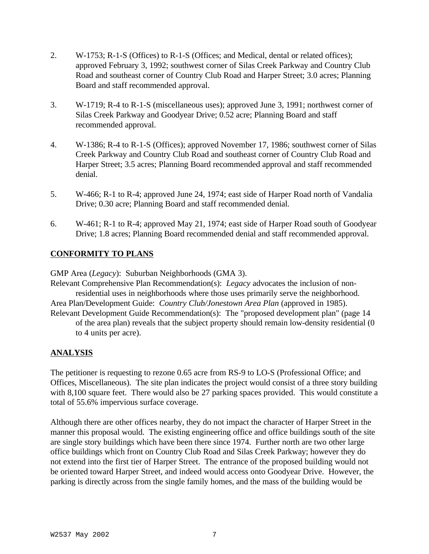- 2. W-1753; R-1-S (Offices) to R-1-S (Offices; and Medical, dental or related offices); approved February 3, 1992; southwest corner of Silas Creek Parkway and Country Club Road and southeast corner of Country Club Road and Harper Street; 3.0 acres; Planning Board and staff recommended approval.
- 3. W-1719; R-4 to R-1-S (miscellaneous uses); approved June 3, 1991; northwest corner of Silas Creek Parkway and Goodyear Drive; 0.52 acre; Planning Board and staff recommended approval.
- 4. W-1386; R-4 to R-1-S (Offices); approved November 17, 1986; southwest corner of Silas Creek Parkway and Country Club Road and southeast corner of Country Club Road and Harper Street; 3.5 acres; Planning Board recommended approval and staff recommended denial.
- 5. W-466; R-1 to R-4; approved June 24, 1974; east side of Harper Road north of Vandalia Drive; 0.30 acre; Planning Board and staff recommended denial.
- 6. W-461; R-1 to R-4; approved May 21, 1974; east side of Harper Road south of Goodyear Drive; 1.8 acres; Planning Board recommended denial and staff recommended approval.

# **CONFORMITY TO PLANS**

GMP Area (*Legacy*): Suburban Neighborhoods (GMA 3).

Relevant Comprehensive Plan Recommendation(s): *Legacy* advocates the inclusion of nonresidential uses in neighborhoods where those uses primarily serve the neighborhood. Area Plan/Development Guide: *Country Club/Jonestown Area Plan* (approved in 1985).

Relevant Development Guide Recommendation(s): The "proposed development plan" (page 14 of the area plan) reveals that the subject property should remain low-density residential (0 to 4 units per acre).

# **ANALYSIS**

The petitioner is requesting to rezone 0.65 acre from RS-9 to LO-S (Professional Office; and Offices, Miscellaneous). The site plan indicates the project would consist of a three story building with 8,100 square feet. There would also be 27 parking spaces provided. This would constitute a total of 55.6% impervious surface coverage.

Although there are other offices nearby, they do not impact the character of Harper Street in the manner this proposal would. The existing engineering office and office buildings south of the site are single story buildings which have been there since 1974. Further north are two other large office buildings which front on Country Club Road and Silas Creek Parkway; however they do not extend into the first tier of Harper Street. The entrance of the proposed building would not be oriented toward Harper Street, and indeed would access onto Goodyear Drive. However, the parking is directly across from the single family homes, and the mass of the building would be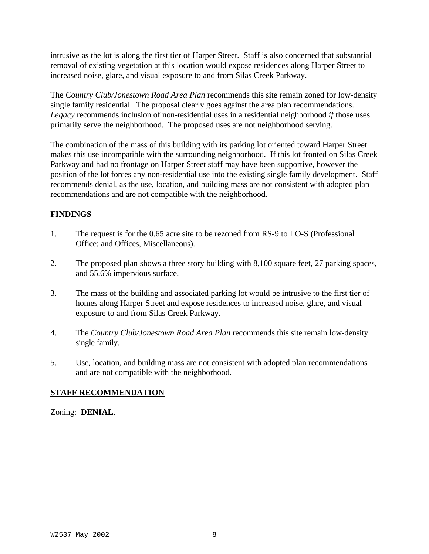intrusive as the lot is along the first tier of Harper Street. Staff is also concerned that substantial removal of existing vegetation at this location would expose residences along Harper Street to increased noise, glare, and visual exposure to and from Silas Creek Parkway.

The *Country Club/Jonestown Road Area Plan* recommends this site remain zoned for low-density single family residential. The proposal clearly goes against the area plan recommendations. *Legacy* recommends inclusion of non-residential uses in a residential neighborhood *if* those uses primarily serve the neighborhood. The proposed uses are not neighborhood serving.

The combination of the mass of this building with its parking lot oriented toward Harper Street makes this use incompatible with the surrounding neighborhood. If this lot fronted on Silas Creek Parkway and had no frontage on Harper Street staff may have been supportive, however the position of the lot forces any non-residential use into the existing single family development. Staff recommends denial, as the use, location, and building mass are not consistent with adopted plan recommendations and are not compatible with the neighborhood.

# **FINDINGS**

- 1. The request is for the 0.65 acre site to be rezoned from RS-9 to LO-S (Professional Office; and Offices, Miscellaneous).
- 2. The proposed plan shows a three story building with 8,100 square feet, 27 parking spaces, and 55.6% impervious surface.
- 3. The mass of the building and associated parking lot would be intrusive to the first tier of homes along Harper Street and expose residences to increased noise, glare, and visual exposure to and from Silas Creek Parkway.
- 4. The *Country Club/Jonestown Road Area Plan* recommends this site remain low-density single family.
- 5. Use, location, and building mass are not consistent with adopted plan recommendations and are not compatible with the neighborhood.

# **STAFF RECOMMENDATION**

Zoning: **DENIAL**.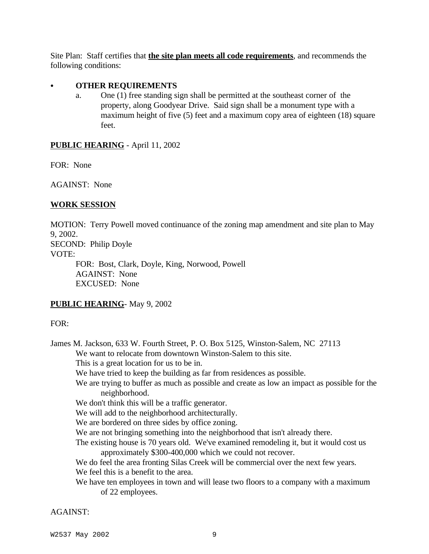Site Plan: Staff certifies that **the site plan meets all code requirements**, and recommends the following conditions:

### C **OTHER REQUIREMENTS**

a. One (1) free standing sign shall be permitted at the southeast corner of the property, along Goodyear Drive. Said sign shall be a monument type with a maximum height of five (5) feet and a maximum copy area of eighteen (18) square feet.

## **PUBLIC HEARING** - April 11, 2002

FOR: None

AGAINST: None

## **WORK SESSION**

MOTION: Terry Powell moved continuance of the zoning map amendment and site plan to May 9, 2002. SECOND: Philip Doyle VOTE: FOR: Bost, Clark, Doyle, King, Norwood, Powell AGAINST: None

EXCUSED: None

# **PUBLIC HEARING**- May 9, 2002

### FOR:

James M. Jackson, 633 W. Fourth Street, P. O. Box 5125, Winston-Salem, NC 27113 We want to relocate from downtown Winston-Salem to this site. This is a great location for us to be in.

We have tried to keep the building as far from residences as possible.

We are trying to buffer as much as possible and create as low an impact as possible for the neighborhood.

We don't think this will be a traffic generator.

We will add to the neighborhood architecturally.

We are bordered on three sides by office zoning.

We are not bringing something into the neighborhood that isn't already there.

The existing house is 70 years old. We've examined remodeling it, but it would cost us approximately \$300-400,000 which we could not recover.

We do feel the area fronting Silas Creek will be commercial over the next few years. We feel this is a benefit to the area.

We have ten employees in town and will lease two floors to a company with a maximum of 22 employees.

AGAINST: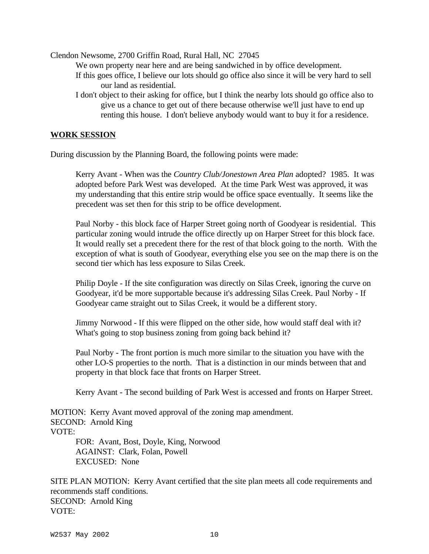Clendon Newsome, 2700 Griffin Road, Rural Hall, NC 27045

We own property near here and are being sandwiched in by office development.

- If this goes office, I believe our lots should go office also since it will be very hard to sell our land as residential.
- I don't object to their asking for office, but I think the nearby lots should go office also to give us a chance to get out of there because otherwise we'll just have to end up renting this house. I don't believe anybody would want to buy it for a residence.

#### **WORK SESSION**

During discussion by the Planning Board, the following points were made:

Kerry Avant - When was the *Country Club/Jonestown Area Plan* adopted? 1985. It was adopted before Park West was developed. At the time Park West was approved, it was my understanding that this entire strip would be office space eventually. It seems like the precedent was set then for this strip to be office development.

Paul Norby - this block face of Harper Street going north of Goodyear is residential. This particular zoning would intrude the office directly up on Harper Street for this block face. It would really set a precedent there for the rest of that block going to the north. With the exception of what is south of Goodyear, everything else you see on the map there is on the second tier which has less exposure to Silas Creek.

Philip Doyle - If the site configuration was directly on Silas Creek, ignoring the curve on Goodyear, it'd be more supportable because it's addressing Silas Creek. Paul Norby - If Goodyear came straight out to Silas Creek, it would be a different story.

Jimmy Norwood - If this were flipped on the other side, how would staff deal with it? What's going to stop business zoning from going back behind it?

Paul Norby - The front portion is much more similar to the situation you have with the other LO-S properties to the north. That is a distinction in our minds between that and property in that block face that fronts on Harper Street.

Kerry Avant - The second building of Park West is accessed and fronts on Harper Street.

MOTION: Kerry Avant moved approval of the zoning map amendment. SECOND: Arnold King VOTE: FOR: Avant, Bost, Doyle, King, Norwood

AGAINST: Clark, Folan, Powell EXCUSED: None

SITE PLAN MOTION: Kerry Avant certified that the site plan meets all code requirements and recommends staff conditions. SECOND: Arnold King VOTE: